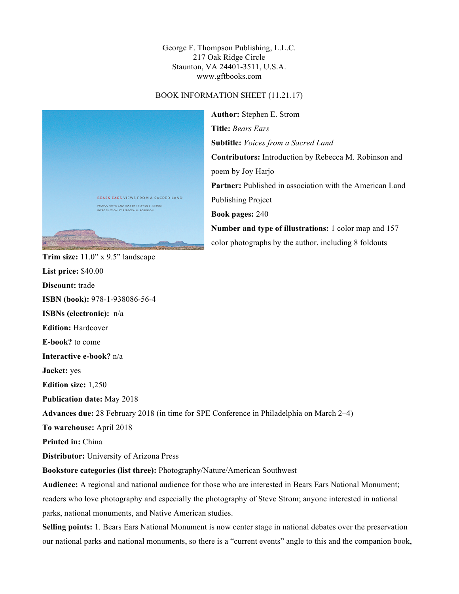George F. Thompson Publishing, L.L.C. 217 Oak Ridge Circle Staunton, VA 24401-3511, U.S.A. www.gftbooks.com

## BOOK INFORMATION SHEET (11.21.17)



**Author:** Stephen E. Strom **Title:** *Bears Ears* **Subtitle:** *Voices from a Sacred Land* **Contributors:** Introduction by Rebecca M. Robinson and poem by Joy Harjo Partner: Published in association with the American Land Publishing Project **Book pages:** 240 **Number and type of illustrations:** 1 color map and 157 color photographs by the author, including 8 foldouts

**List price:** \$40.00 **Discount:** trade **ISBN (book):** 978-1-938086-56-4 **ISBNs (electronic):** n/a **Edition:** Hardcover **E-book?** to come **Interactive e-book?** n/a **Jacket:** yes **Edition size:** 1,250 **Publication date:** May 2018 **Advances due:** 28 February 2018 (in time for SPE Conference in Philadelphia on March 2–4) **To warehouse:** April 2018 **Printed in:** China **Distributor:** University of Arizona Press **Bookstore categories (list three):** Photography/Nature/American Southwest **Audience:** A regional and national audience for those who are interested in Bears Ears National Monument; readers who love photography and especially the photography of Steve Strom; anyone interested in national parks, national monuments, and Native American studies. **Selling points:** 1. Bears Ears National Monument is now center stage in national debates over the preservation

our national parks and national monuments, so there is a "current events" angle to this and the companion book,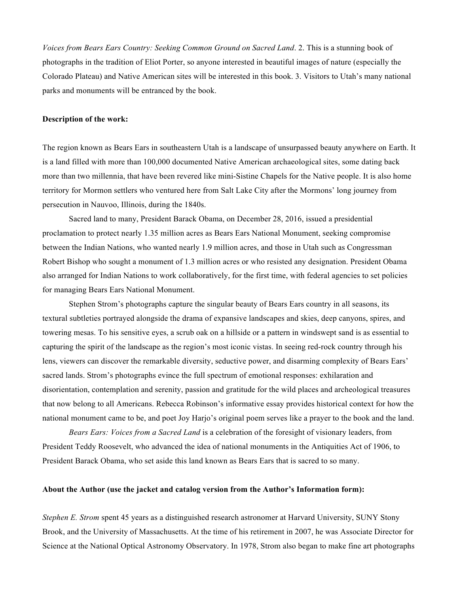*Voices from Bears Ears Country: Seeking Common Ground on Sacred Land*. 2. This is a stunning book of photographs in the tradition of Eliot Porter, so anyone interested in beautiful images of nature (especially the Colorado Plateau) and Native American sites will be interested in this book. 3. Visitors to Utah's many national parks and monuments will be entranced by the book.

## **Description of the work:**

The region known as Bears Ears in southeastern Utah is a landscape of unsurpassed beauty anywhere on Earth. It is a land filled with more than 100,000 documented Native American archaeological sites, some dating back more than two millennia, that have been revered like mini-Sistine Chapels for the Native people. It is also home territory for Mormon settlers who ventured here from Salt Lake City after the Mormons' long journey from persecution in Nauvoo, Illinois, during the 1840s.

Sacred land to many, President Barack Obama, on December 28, 2016, issued a presidential proclamation to protect nearly 1.35 million acres as Bears Ears National Monument, seeking compromise between the Indian Nations, who wanted nearly 1.9 million acres, and those in Utah such as Congressman Robert Bishop who sought a monument of 1.3 million acres or who resisted any designation. President Obama also arranged for Indian Nations to work collaboratively, for the first time, with federal agencies to set policies for managing Bears Ears National Monument.

Stephen Strom's photographs capture the singular beauty of Bears Ears country in all seasons, its textural subtleties portrayed alongside the drama of expansive landscapes and skies, deep canyons, spires, and towering mesas. To his sensitive eyes, a scrub oak on a hillside or a pattern in windswept sand is as essential to capturing the spirit of the landscape as the region's most iconic vistas. In seeing red-rock country through his lens, viewers can discover the remarkable diversity, seductive power, and disarming complexity of Bears Ears' sacred lands. Strom's photographs evince the full spectrum of emotional responses: exhilaration and disorientation, contemplation and serenity, passion and gratitude for the wild places and archeological treasures that now belong to all Americans. Rebecca Robinson's informative essay provides historical context for how the national monument came to be, and poet Joy Harjo's original poem serves like a prayer to the book and the land.

*Bears Ears: Voices from a Sacred Land* is a celebration of the foresight of visionary leaders, from President Teddy Roosevelt, who advanced the idea of national monuments in the Antiquities Act of 1906, to President Barack Obama, who set aside this land known as Bears Ears that is sacred to so many.

## **About the Author (use the jacket and catalog version from the Author's Information form):**

*Stephen E. Strom* spent 45 years as a distinguished research astronomer at Harvard University, SUNY Stony Brook, and the University of Massachusetts. At the time of his retirement in 2007, he was Associate Director for Science at the National Optical Astronomy Observatory. In 1978, Strom also began to make fine art photographs